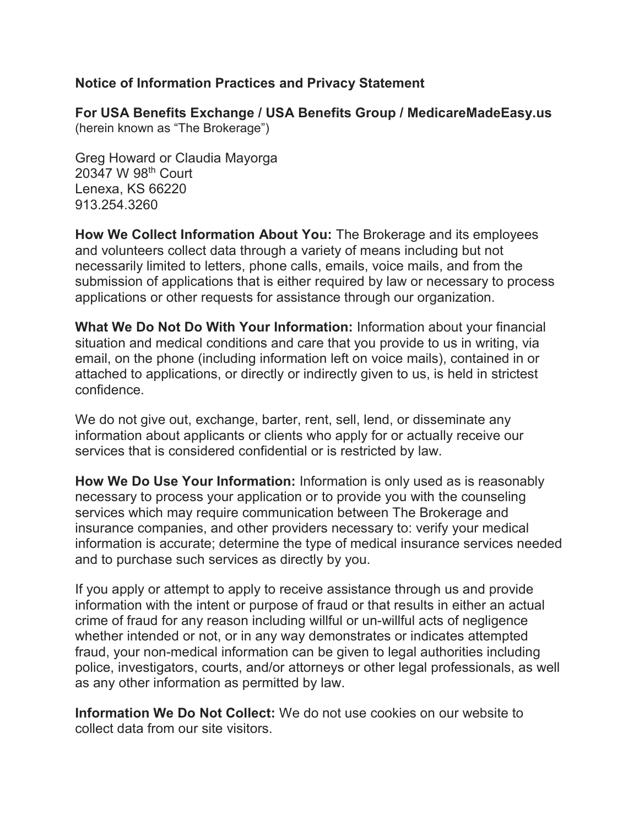## **Notice of Information Practices and Privacy Statement**

**For USA Benefits Exchange / USA Benefits Group / MedicareMadeEasy.us**  (herein known as "The Brokerage")

Greg Howard or Claudia Mayorga 20347 W 98th Court Lenexa, KS 66220 913.254.3260

**How We Collect Information About You:** The Brokerage and its employees and volunteers collect data through a variety of means including but not necessarily limited to letters, phone calls, emails, voice mails, and from the submission of applications that is either required by law or necessary to process applications or other requests for assistance through our organization.

**What We Do Not Do With Your Information:** Information about your financial situation and medical conditions and care that you provide to us in writing, via email, on the phone (including information left on voice mails), contained in or attached to applications, or directly or indirectly given to us, is held in strictest confidence.

We do not give out, exchange, barter, rent, sell, lend, or disseminate any information about applicants or clients who apply for or actually receive our services that is considered confidential or is restricted by law.

**How We Do Use Your Information:** Information is only used as is reasonably necessary to process your application or to provide you with the counseling services which may require communication between The Brokerage and insurance companies, and other providers necessary to: verify your medical information is accurate; determine the type of medical insurance services needed and to purchase such services as directly by you.

If you apply or attempt to apply to receive assistance through us and provide information with the intent or purpose of fraud or that results in either an actual crime of fraud for any reason including willful or un-willful acts of negligence whether intended or not, or in any way demonstrates or indicates attempted fraud, your non-medical information can be given to legal authorities including police, investigators, courts, and/or attorneys or other legal professionals, as well as any other information as permitted by law.

**Information We Do Not Collect:** We do not use cookies on our website to collect data from our site visitors.